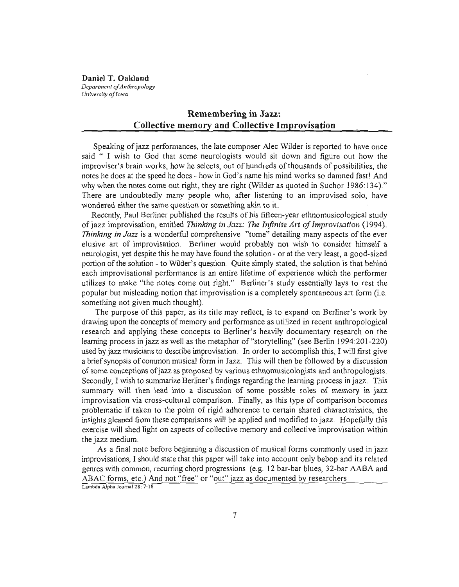**Daniel T. Oakland** *Department ofAnthropology University ofIowa*

# **Remembering in Jazz: Collective memory and Collective Improvisation**

Speaking of jazz performances, the late composer Alec Wilder is reported to have once said " I wish to God that some neurologists would sit down and figure out how the improviser's brain works, how he selects, out of hundreds ofthousands of possibilities, the notes he does at the speed he does - how in God's name his mind works so damned fast! And why when the notes come out right, they are right (Wilder as quoted in Suchor 1986:134)." There are undoubtedly many people who, after listening to an improvised solo, have wondered either the same question or something akin to it.

Recently, Paul Berliner published the results of his fifteen-year ethnomusicological study ofjazz improvisation, entitled *Thinking in Jazz: The Infinite Art ofImprovisation (1994). Thinking in Jazz* is a wonderful comprehensive "tome" detailing many aspects of the ever elusive art of improvisation. Berliner would probably not wish to consider himself a neurologist, yet despite this he may have found the solution - or at the very least, a good-sized portion ofthe solution - to Wilder's question. Quite simply stated, the solution is that behind each improvisational performance is an entire lifetime of experience which the performer utilizes to make "the notes come out right." Berliner's study essentially lays to rest the popular but misleading notion that improvisation is a completely spontaneous art form (i.e. something not given much thought).

The purpose of this paper, as its title may reflect, is to expand on Berliner's work by drawing upon the concepts of memory and performance as utilized in recent anthropological research and applying these concepts to Berliner's heavily documentary research on the learning process in jazz as well as the metaphor of "storytelling" (see Berlin 1994:201-220) used by jazz musicians to describe improvisation. In order to accomplish this, I will first give a brief synopsis of common musical form in Jazz. This will then be followed by a discussion ofsome conceptions ofjazz as proposed by various ethnomusicologists and anthropologists. Secondly, I wish to summarize Berliner's findings regarding the learning process in jazz. This summary will then lead into a discussion of some possible roles of memory in jazz improvisation via cross-cultural comparison. Finally, as this type of comparison becomes problematic if taken to the point of rigid adherence to certain shared characteristics, the insights gleaned from these comparisons will be applied and modified to jazz. Hopefully this exercise will shed light on aspects of collective memory and collective improvisation within the jazz medium.

As a final note before beginning a discussion of musical forms commonly used in jazz improvisations, I should state that this paper will take into account only bebop and its related genres with common, recurring chord progressions (e.g. 12 bar-bar blues, 32-bar AABA and ABAC forms, etc.) And not "free" or "out" jazz as documented by researchers Lambda Alpha Journal 28: 7-18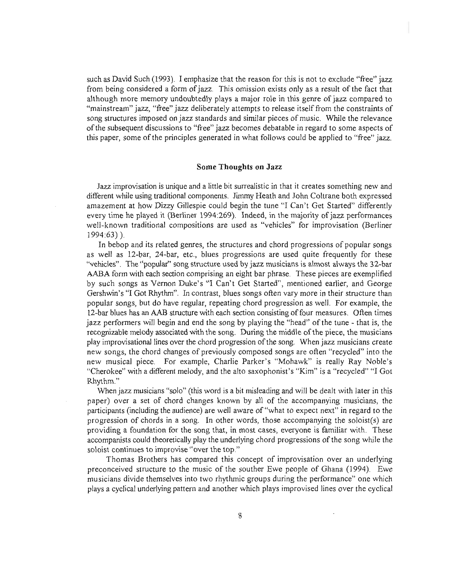such as David Such (1993). I emphasize that the reason for this is not to exclude "free" jazz from being considered a form of jazz. This omission exists only as a result of the fact that although more memory undoubtedly plays a major role in this genre of jazz compared to "mainstream" jazz, "free" jazz deliberately attempts to release itself from the constraints of song structures imposed on jazz standards and similar pieces of music. While the relevance ofthe subsequent discussions to "free" jazz becomes debatable in regard to some aspects of this paper, some ofthe principles generated in what follows could be applied to "free" jazz.

### Some **Thoughts on** Jazz

Jazz improvisation is unique and a little bit surrealistic in that it creates something new and different while using traditional components. Jimmy Heath and John Coltrane both expressed amazement at how Dizzy Gillespie could begin the tune "I Can't Get Started" differently every time he played it (Berliner 1994:269). Indeed, in the majority of jazz performances well-known traditional compositions are used as "vehicles" for improvisation (Berliner ] 994 :63) ).

In bebop and its related genres, the structures and chord progressions of popular songs as well as 12-bar, 24-bar, etc., blues progressions are used quite frequently for these "vehicles". The "popular" song structure used by jazz musicians is almost always the 32-bar AABA form with each section comprising an eight bar phrase. These pieces are exemplified by such songs as Vernon Duke's "I Can't Get Started", mentioned earlier, and George Gershwin's "I Got Rhythm". In contrast, blues songs often vary more in their structure than popular songs, but do have regular, repeating chord progression as well. For example, the 12-bar blues has an AAB structure with each section consisting offour measures. Often times jazz performers will begin and end the song by playing the "head" of the tune - that is, the recognizable melody associated with the song. During the middle ofthe piece, the musicians play improvisational lines over the chord progression ofthe song. When jazz musicians create new songs, the chord changes of previously composed songs are often "recycled" into the new musical piece. For example, Charlie Parker's "Mohawk" is really Ray Noble's "Cherokee" with a different melody, and the alto saxophonist's "Kim" is a "recycled" "I Got Rhythm."

When jazz musicians "solo" (this word is a bit misleading and will be dealt with later in this paper) over a set of chord changes known by all of the accompanying musicians, the participants (including the audience) are well aware of "what to expect next" in regard to the progression of chords in a song. In other words, those accompanying the soloist(s) are providing a foundation for the song that, in most cases, everyone is familiar with. These accompanists could theoretically play the underlying chord progressions ofthe song while the soloist continues to improvise "over the top."

Thomas Brothers has compared this concept of improvisation over an underlying preconceived structure to the music of the souther Ewe people of Ghana (1994). Ewe musicians divide themselves into two rhytlunic groups during the performance" one which plays a cyclical underlying pattern and another which plays improvised lines over the cyclical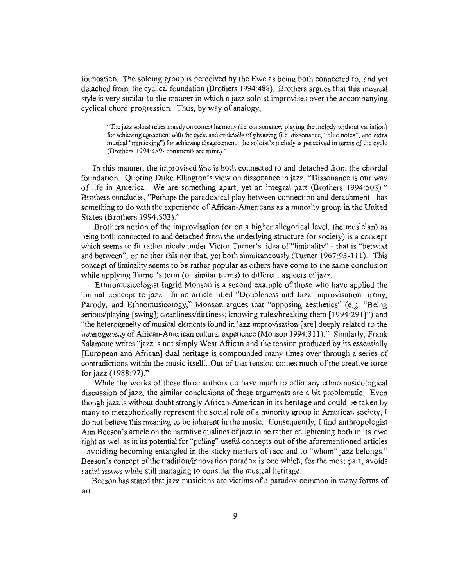foundation. The soloing group is perceived by the Ewe as being both connected to, and yet detached from, the cyclical foundation (Brothers 1994:488). Brothers argues that this musical style is very similar to the manner in which a jazz soloist improvises over the accompanying cyclical chord progression. Thus, by way of analogy,

"The jazz soloist relies mainly on correct hannony (i.e. consonance, playing the melody without variation) for achieving agreement with the cycle and on details of phrasing (i.e. dissonance, "blue notes", and extra musical "mimicking") for achieving disagreement...the soloist's melody is perceived in terms of the cycle (Brothers 1994:489- comments are mine)."

In this manner, the improvised line is both connected to and detached from the chordal foundation. Quoting Duke Ellington's view on dissonance injazz: "Dissonance is our way of life in America. We are something apart, yet an integral part (Brothers 1994:503)." Brothers concludes, "Perhaps the paradoxical play between connection and detachment...has something to do with the experience of Afiican-Americans as a minority group in the United States (Brothers 1994:503)."

Brothers notion of the improvisation (or on a higher allegorical level, the musician) as being both connected to and detached from the underlying structure (or society) is a concept which seems to fit rather nicely under Victor Turner's idea of "liminality" - that is "betwixt and between", or neither this nor that, yet both simultaneously (Turner 1967:93-111). This concept of liminality seems to be rather popular as others have come to the same conclusion while applying Turner's term (or similar terms) to different aspects of jazz.

Ethnomusicologist Ingrid Monson is a second example of those who have applied the liminal concept to jazz. In an article titled "Doubleness and Jazz Improvisation: Irony, Parody, and Ethnomusicology," Monson argues that "opposing aesthetics" (e.g. "Being serious/playing [swing]; cleanliness/dirtiness; knowing ruleslbreaking them [1994:291]") and "the heterogeneity ofmusical elements found in jazz improvisation [are] deeply related to the heterogeneity of African-American cultural experience (Monson 1994:311)." Similarly, Frank Salamone writes "jazz is not simply West Afiican and the tension produced by its essentially [European and Afiican] dual heritage is compounded many times over through a series of contradictions within the music itself...Out of that tension comes much of the creative force for jazz (1988:97)."

While the works of these three authors do have much to offer any ethnomusicological discussion ofjazz, the similar conclusions of these arguments are a bit problematic. Even though jazz is without doubt strongly African-American in its heritage and could be taken by many to metaphorically represent the social role ofa minority group in American society, I do not believe this meaning to be inherent in the music. Consequently, I find anthropologist Ann Beeson's article on the narrative qualities of jazz to be rather enlightening both in its own right as well as in its potential for "pulling" useful concepts out of the aforementioned articles - avoiding becoming entangled in the sticky matters of race and to "whom" jazz belongs." Beeson's concept ofthe tradition/innovation paradox is one which, for the most part, avoids racial issues while still managing to consider the musical heritage.

Beeson has stated that jazz musicians are victims of a paradox common in many forms of art: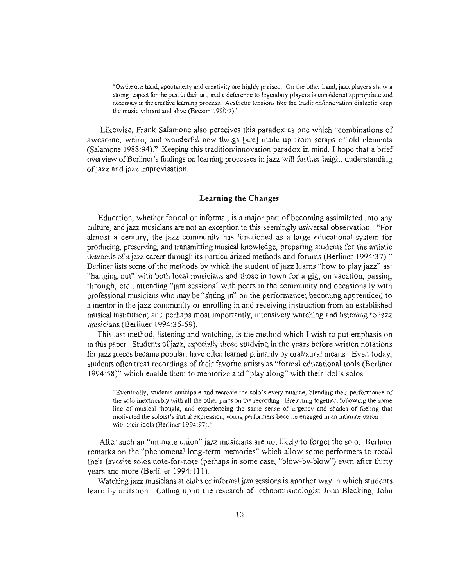"On the one hand, spontaneity and creativity are highly praised. On the other hand, jazz players show a strong respect for the past in their art, and a deference to legendary players is considered appropriate and necessary in the creative learning process. Aesthetic tensions like the tradition/innovation dialectic keep the music vibrant and alive (Beeson 1990:2)."

Likewise, Frank Salamone also perceives this paradox as one which "combinations of awesome, weird, and wonderful new things [are] made up from scraps of old elements (Salamone 1988:94)." Keeping this tradition/innovation paradox in mind, I hope that a brief overview ofBerliner's findings on learning processes in jazz will further height understanding ofjazz and jazz improvisation.

# **Learning the Changes**

Education, whether formal or informal, is a major part of becoming assimilated into any culture, and jazz musicians are not an exception to this seemingly universal observation. "For almost a century, the jazz community has functioned as a large educational system for producing, preserving, and transmitting musical knowledge, preparing students for the artistic demands of a jazz career through its particularized methods and forums (Berliner 1994:37)." Berliner lists some of the methods by which the student of jazz learns "how to play jazz" as: "hanging out" with both local musicians and those in town for a gig, on vacation, passing through, etc.; attending "jam sessions" with peers in the community and occasionally with professional musicians who may be "sitting in" on the performance; becoming apprenticed to a mentor in the jazz community or enrolling in and receiving instruction from an established musical institution; and perhaps most importantly, intensively watching and listening to jazz musicians (Berliner 1994:36-59).

This last method, listening and watching, is the method which I wish to put emphasis on in this paper. Students ofjazz, especially those studying in the years before written notations for jazz pieces became popular, have often learned primarily by oral/aural means. Even today, students often treat recordings of their favorite artists as "formal educational tools (Berliner 1994:58)" which enable them to memorize and "play along" with their idol's solos.

"Eventually, students anticipate and recreate the solo's every nuance, blending their performance of the solo inextricably with all the other parts on the recording. Breathing together, following the same line of musical thought, and experiencing the same sense of urgency and shades of feeling that motivated the soloist's initial expression, young performers become engaged in an intimate union with their idols (Berliner 1994:97)."

After such an "intimate union" jazz musicians are not likely to forget the solo. Berliner remarks on the "phenomenal long-term memories" which allow some performers to recall their favorite solos note-for-note (perhaps in some case, "blow-by-blow") even after thirty years and more (Berliner 1994:111).

Watching jazz musicians at clubs or informal jam sessions is another way in which students learn by imitation. Calling upon the research of ethnomusicologist John Blacking, John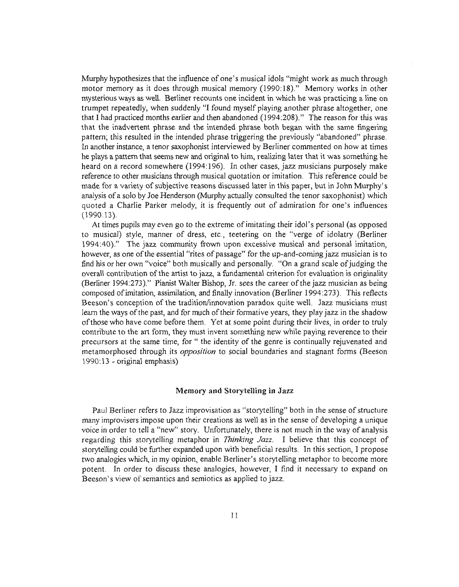Murphy hypothesizes that the influence of one's musical idols "might work as much through motor memory as it does through musical memory (1990:18)." Memory works in other mysterious ways as well. Berliner recounts one incident in which he was practicing a line on trumpet repeatedly, when suddenly "I found myself playing another phrase altogether, one that I had practiced months earlier and then abandoned (1994:208)." The reason for this was that the inadvertent phrase and the intended phrase both began with the same fingering pattern; this resulted in the intended phrase triggering the previously "abandoned" phrase. In another instance, a tenor saxophonist interviewed by Berliner commented on how at times he plays a pattern that seems new and original to him, realizing later that it was something he heard on a record somewhere (1994:196). In other cases, jazz musicians purposely make reference to other musicians through musical quotation or imitation. This reference could be made for a variety of subjective reasons discussed later in this paper, but in John Murphy's analysis of a solo by Joe Henderson (Murphy actually consulted the tenor saxophonist) which quoted a Charlie Parker melody, it is frequently out of admiration for one's influences  $(1990:13)$ .

At times pupils may even go to the extreme ofimitating their idol's personal (as opposed to musical) style, manner of dress, etc., teetering on the "verge of idolatry (Berliner 1994:40)." The jazz community frown upon excessive musical and personal imitation, however, as one of the essential "rites of passage" for the up-and-coming jazz musician is to find his or her own "voice" both musically and personally. "On a grand scale of judging the overall contribution ofthe artist to jazz, a fundamental criterion for evaluation is originality (Berliner 1994:273)." Pianist Walter Bishop, Jr. sees the career of the jazz musician as being composed ofimitation, assimilation, and finally innovation (Berliner 1994:273). This reflects Beeson's conception of the tradition/innovation paradox quite well. Jazz musicians must learn the ways of the past, and for much of their formative years, they play jazz in the shadow ofthose who have come before them. Yet at some point during their lives, in order to truly contribute to the art fonn, they must invent something new while paying reverence to their precursors at the same time, for" the identity of the genre is continually rejuvenated and metamorphosed through its *opposition* to social boundaries and stagnant fonns (Beeson 1990: 13 - original emphasis)

## Memory and Storytelling in Jazz

Paul Berliner refers to Jazz improvisation as "storytelling" both in the sense of structure many improvisers impose upon their creations as well as in the sense of developing a unique voice in order to tell a "new" story. Unfortunately, there is not much in the way of analysis regarding this storytelling metaphor in *Thinking Jazz.* I believe that this concept of storytelling could be further expanded upon with beneficial results. In this section, I propose two analogies which, in my opinion, enable Berliner's storytelling metaphor to become more potent. In order to discuss these analogies, however, I find it necessary to expand on Beeson's view of semantics and semiotics as applied to jazz.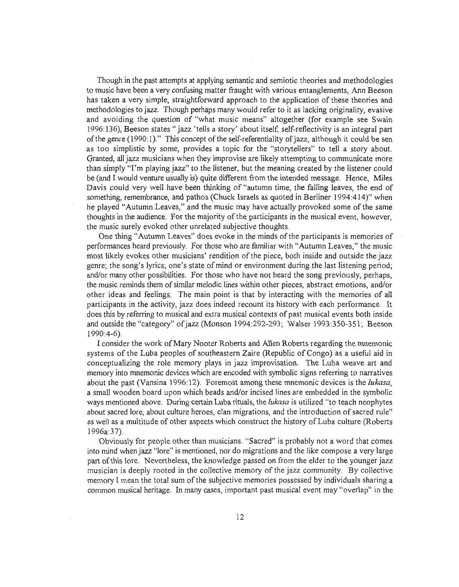Though in the past attempts at applying semantic and semiotic theories and methodologies to music have been a very confusing matter fraught with various entanglements, Ann Beeson has taken a very simple, straightforward approach to the application of these theories and methodologies to jazz. Though perhaps many would refer to it as lacking originality, evasive and avoiding the question of "what music means" altogether (for example see Swain 1996: 136), Beeson states" jazz 'tells a story' about itself; self-reflectivity is an integral part of the genre  $(1990:1)$ ." This concept of the self-referentiality of jazz, although it could be sen as too simplistic by some, provides a topic for the "storytellers" to tell a story about. Granted, all jazz musicians when they improvise are likely attempting to commurucate more than simply ''I'm playing jazz" to the listener, but the meaning created by the listener could be (and I would venture usually is) quite different from the intended message. Hence, Miles Davis could very well have been thinking of "autumn time, the falling leaves, the end of something, remembrance, and pathos (Chuck Israels as quoted in Berliner 1994:414)" when he played "Autumn Leaves," and the music may have actually provoked some of the same thoughts in the audience. For the majority of the participants in the musical event, however, the music surely evoked other unrelated subjective thoughts.

One thing "Autumn Leaves" does evoke in the minds ofthe participants is memories of performances heard previously. For those who are familiar with "Autumn Leaves," the music most likely evokes other musicians' rendition ofthe piece, both inside and outside the jazz genre; the song's lyrics; one's state of mind or environment during the last listening period; and/or many other possibilities. For those who have not heard the song previously, perhaps, the music reminds them of similar melodic lines within other pieces, abstract emotions, and/or other ideas and feelings. The main point is that by interacting with the memories of all participants in the activity, jazz does indeed recount its history with each performance. It does this by referring to musical and extra musical contexts of past musical events both inside and outside the "category" of jazz (Monson 1994:292-293; Walser 1993:350-351; Beeson 1990:4-6).

I consider the work ofMary Nooter Roberts and Allen Roberts regarding the mnemonic systems of the Luba peoples of southeastern Zaire (Republic of Congo) as a useful aid in conceptualizing the role memory plays in jazz improvisation. The Luba weave art and memory into mnemonic devices which are encoded with symbolic signs referring to narratives about the past (Vansina 1996: 12). Foremost among these mnemoruc devices is the *lukasa,* a small wooden board upon which beads and/or incised lines are embedded in the symbolic ways mentioned above. During certain Luba rituals, the *lukasa* is utilized "to teach neophytes about sacred lore, about culture heroes, clan migrations, and the introduction of sacred rule" as well as a multitude of other aspects which construct the history of Luba culture (Roberts 1996a:37).

Obviously for people other than musicians. "Sacred" is probably not a word that comes into mind when jazz "lore" is mentioned, nor do migrations and the like compose a very large part ofthis lore. Nevertheless, the knowledge passed on from the elder to the younger jazz musician is deeply rooted in the collective memory of the jazz community. By collective memory I mean the total sum of the subjective memories possessed by individuals sharing a common musical heritage. In many cases, important past musical event may "overlap" in the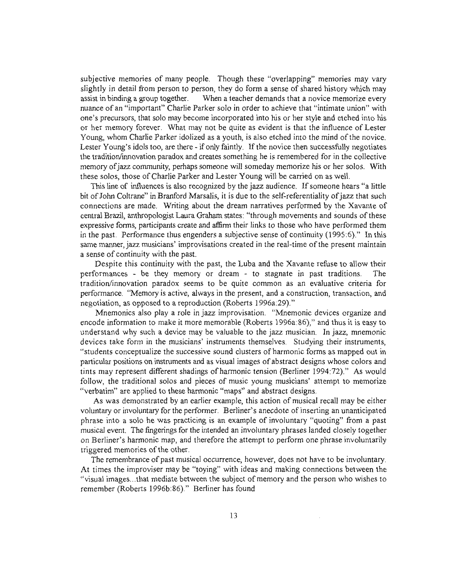subjective memories of many people. Though these "overlapping" memories may vary slightly in detail from person to person, they do form a sense of shared history which may assist in binding a group together. When a teacher demands that a novice memorize every nuance of an "important" Charlie Parker solo in order to achieve that "intimate union" with one's precursors, that solo may become incorporated into his or her style and etched into his or her memory forever. What may not be quite as evident is that the influence of Lester Young, whom Charlie Parker idolized as a youth, is also etched into the mind of the novice. Lester Young's idols too, are there - if only faintly. If the novice then successfully negotiates the tradition/innovation paradox and creates something he is remembered for in the collective memory of jazz community, perhaps someone will someday memorize his or her solos. With these solos, those of Charlie Parker and Lester Young will be carried on as well.

This line of influences is also recognized by the jazz audience. If someone hears "a little bit of John Coltrane" in Branford Marsalis, it is due to the self-referentiality of jazz that such connections are made. Writing about the dream narratives perfonned by the Xavante of central Brazil, anthropologist Laura Graham states: "through movements and sounds ofthese expressive fonns, participants create and affinn their links to those who have performed them in the past. Performance thus engenders a subjective sense of continuity (1995 :6)." In this same manner, jazz musicians' improvisations created in the real-time of the present maintain a sense of continuity with the past.

Despite this continuity with the past, the Luba and the Xavante refuse to allow their performances - be they memory or dream - to stagnate in past traditions. The tradition/innovation paradox seems to be quite common as an evaluative criteria for perfonnance. "Memory is active, always in the present, and a construction, transaction, and negotiation, as opposed to a reproduction (Roberts 1996a:29)."

Mnemonics also playa role in jazz improvisation. "Mnemonic devices organize and encode information to make it more memorable (Roberts 1996a:86)," and thus it is easy to understand why such a device may be valuable to the jazz musician. In jazz, mnemonic devices take form in the musicians' instruments themselves. Studying their instruments, "students conceptualize the successive sound clusters of harmonic fonns as mapped out in particular positions on instruments and as visual images of abstract designs whose colors and tints may represent different shadings ofhannonic tension (Berliner 1994:72)." As would follow, the traditional solos and pieces of music young musicians' attempt to memorize "verbatim" are applied to these harmonic "maps" and abstract designs.

As was demonstrated by an earlier example, this action of musical recall may be either voluntary or involuntary for the perfonner. Berliner's anecdote of inserting an unanticipated phrase into a solo he was practicing is an example of involuntary "quoting" from a past musical event. The fingerings for the intended an involuntary phrases landed closely together on Berliner's harmonic map, and therefore the attempt to perform one phrase involuntarily triggered memories of the other.

The remembrance of past musical occurrence, however, does not have to be involuntary. At times the improviser may be "toying" with ideas and making connections between the "visual images...that mediate between the subject of memory and the person who wishes to remember (Roberts 1996b:86)." Berliner has found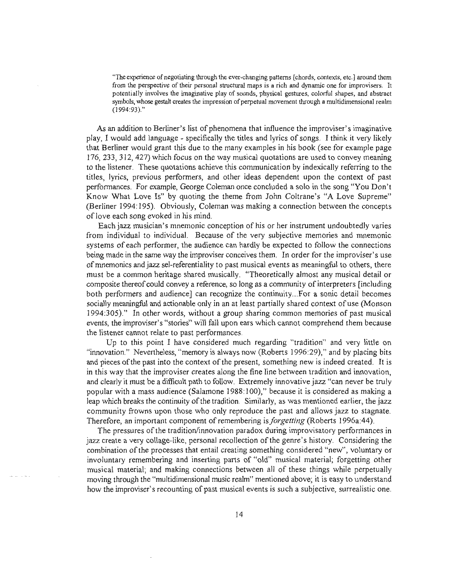"The experience of negotiating through the ever-changing patterns [chords, contexts, etc.] around them from the perspective of their personal structural maps is a rich and dynamic one for improvisers. It potentially involves the imaginative play of sounds, physical gestures, colorful shapes, and abstract symbols, whose gestalt creates the impression of perpetual movement through a multidimensional realm (1994:93)."

As an addition to Berliner's list of phenomena that influence the improviser's imaginative play, I would add language - specifically the titles and lyrics of songs. I think it very likely that Berliner would grant this due to the many examples in his book (see for example page 176, 233, 312, 427) which focus on the way musical quotations are used to convey meaning to the listener. These quotations achieve this communication by indexically referring to the titles, lyrics, previous performers, and other ideas dependent upon the context of past performances. For example, George Coleman once concluded a solo in the song "You Don't Know What Love Is" by quoting the theme from John Coltrane's "A Love Supreme" (Berliner 1994: 195). Obviously, Coleman was making a connection between the concepts of love each song evoked in his mind.

Each jazz musician's mnemonic conception of his or her instrument undoubtedly varies from individual to individual. Because of the very subjective memories and mnemonic systems of each performer, the audience can hardly be expected to follow the connections being made in the same way the improviser conceives them. In order for the improviser's use of mnemonics and jazz sel-referentiality to past musical events as meaningful to others, there must be a common heritage shared musically. "Theoretically almost any musical detail or composite thereof could convey a reference, so long as a community of interpreters [including] both performers and audience] can recognize the continuity...For a sonic detail becomes socially meaningful and actionable only in an at least partially shared context of use (Monson 1994:305)." In other words, without a group sharing common memories of past musical events, the improviser's "stories" will fall upon ears which cannot comprehend them because the listener cannot relate to past performances.

Up to this point I have considered much regarding "tradition" and very little on "innovation." Nevertheless, "memory is always now (Roberts 1996:29)," and by placing bits and pieces of the past into the context of the present, something new is indeed created. It is in this way that the improviser creates along the fine line between tradition and innovation, and clearly it must be a difficult path to follow. Extremely innovative jazz "can never be truly popular with a mass audience (Salamone 1988: 100)," because it is considered as making a leap which breaks the continuity of the tradition. Similarly, as was mentioned earlier, the jazz community frowns upon those who only reproduce the past and allows jazz to stagnate. Therefore, an important component ofremembering *isforgetting* (Roberts 1996a:44).

The pressures ofthe tradition/innovation paradox during improvisatory performances in jazz create a very collage-like, personal recollection ofthe genre's history. Considering the combination of the processes that entail creating something considered "new", voluntary or involuntary remembering and inserting parts of "old" musical material; forgetting other musical material; and making connections between all of these things while perpetually moving through the "multidimensional music realm" mentioned above; it is easy to understand how the improviser's recounting of past musical events is such a subjective, surrealistic one.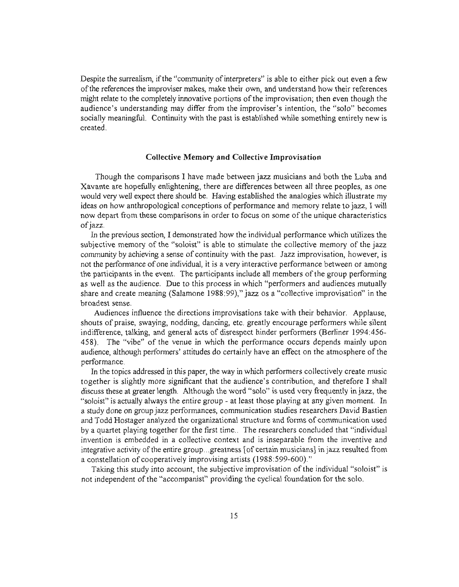Despite the surrealism, if the "community of interpreters" is able to either pick out even a few of the references the improviser makes, make their own, and understand how their references might relate to the completely innovative portions of the improvisation; then even though the audience's understanding may differ from the improviser's intention, the "solo" becomes socially meaningful. Continuity with the past is established while something entirely new is created.

#### **Collective Memory and Collective Improvisation**

Though the comparisons I have made between jazz musicians and both the Luba and Xavante are hopefully enlightening, there are differences between all three peoples, as one would very well expect there should be. Having established the analogies which illustrate my ideas on how anthropological conceptions of performance and memory relate to jazz, I will now depart from these comparisons in order to focus on some ofthe unique characteristics of jazz.

In the previous section, I demonstrated how the individual performance which utilizes the subjective memory of the "soloist" is able to stimulate the collective memory of the jazz community by achieving a sense of continuity with the past. Jazz improvisation, however, is not the performance of one individual, it is a very interactive performance between or among the participants in the event. The participants include all members ofthe group performing as well as the audience. Due to this process in which "performers and audiences mutually share and create meaning (Salamone 1988:99)," jazz os a "collective improvisation" in the broadest sense.

Audiences influence the directions improvisations take with their behavior. Applause, shouts of praise, swaying, nodding, dancing, etc. greatly encourage performers while silent indifference, talking, and general acts of disrespect hinder performers (Berliner 1994:456- 458). The "vibe" of the venue in which the performance occurs depends mainly upon audience, although performers' attitudes do certainly have an effect on the atmosphere ofthe performance.

In the topics addressed in this paper, the way in which performers collectively create music together is slightly more significant that the audience's contribution, and therefore I shall discuss these at greater length. Although the word "solo" is used very frequently in jazz, the "soloist" is actually always the entire group - at least those playing at any given moment. In a study done on group jazz performances, communication studies researchers David Bastien and Todd Hostager analyzed the organizational structure and forms of communication used by a quartet playing together for the first time.. The researchers concluded that "individual invention is embedded in a collective context and is inseparable from the inventive and integrative activity of the entire group...greatness [of certain musicians] in jazz resulted from a constellation of cooperatively improvising artists (1988:599-600)."

Taking this study into account, the subjective improvisation of the individual "soloist" is not independent of the "accompanist" providing the cyclical foundation for the solo.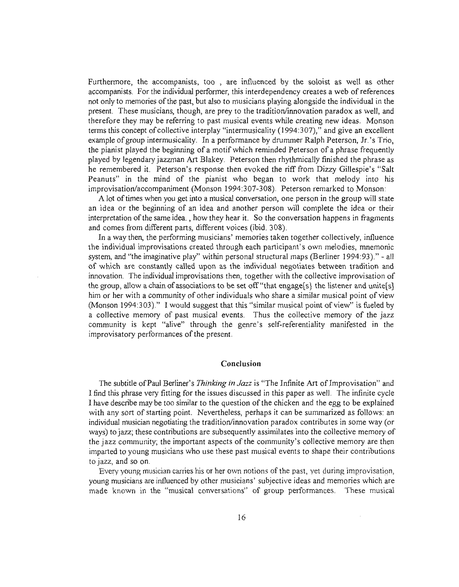Furthermore, the accompanists, too , are influenced by the soloist as well as other accompanists. For the individual performer, this interdependency creates a web of references not only to memories ofthe past, but also to musicians playing alongside the individual in the present. These musicians, though, are prey to the tradition/innovation paradox as well, and therefore they may be referring to past musical events while creating new ideas. Monson terms this concept of collective interplay "intermusicality (1994:307)," and give an excellent example of group intermusicality. In a performance by drummer Ralph Peterson, Jr.'s Trio, the pianist played the beginning of a motif which reminded Peterson of a phrase frequently played by legendary jazzman Art Blakey. Peterson then rhythmically finished the phrase as he remembered it. Peterson's response then evoked the riff from Dizzy Gillespie's "Salt Peanuts" in the mind of the pianist who began to work that melody into his improvisation/accompaniment (Monson 1994:307-308). Peterson remarked to Monson:

A lot oftimes when you get into a musical conversation, one person in the group will state an idea or the beginning of an idea and another person will complete the idea or their interpretation ofthe same idea. , how they hear it. So the conversation happens in fragments and comes from different parts, different voices (ibid. 308).

In a way then, the performing musicians' memories taken together collectively, influence the individual improvisations created through each participant's own melodies, mnemonic system, and "the imaginative play" within personal structural maps (Berliner 1994:93)." - all of which are constantly called upon as the individual negotiates between tradition and innovation. The individual improvisations then, together with the collective improvisation of the group, allow a chain of associations to be set off "that engage[s] the listener and unite[s] him or her with a community of other individuals who share a similar musical point of view (Monson 1994:303)." I would suggest that this "similar musical point of view" is fueled by a collective memory of past musical events. Thus the collective memory of the jazz community is kept "alive" through the genre's self-referentiality manifested in the improvisatory performances of the present.

### **Conclusion**

The subtitle of Paul Berliner's *Thinking in Jazz* is "The Infinite Art of Improvisation" and I find this phrase very fitting for the issues discussed in this paper as well. The infinite cycle I have describe may be too similar to the question of the chicken and the egg to be explained with any sort of starting point. Nevertheless, perhaps it can be summarized as follows: an individual musician negotiating the tradition/innovation paradox contributes in some way (or ways) to jazz; these contributions are subsequently assimilates into the collective memory of the jazz community; the important aspects of the community's collective memory are then imparted to young musicians who use these past musical events to shape their contributions to jazz, and so on.

Every young musician carries his or her own notions of the past, yet during improvisation, young musicians are influenced by other musicians' subjective ideas and memories which are made known in the "musical conversations" of group performances. These musical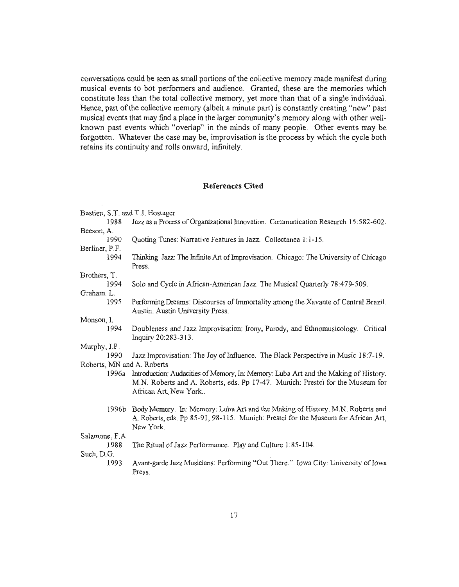conversations could be seen as small portions of the collective memory made manifest during musical events to bot performers and audience. Granted, these are the memories which constitute less than the total collective memory, yet more than that of a single individual. Hence, part of the collective memory (albeit a minute part) is constantly creating "new" past musical events that may find a place in the larger community's memory along with other wellknown past events which "overlap" in the minds of many people. Other events may be forgotten. Whatever the case may be, improvisation is the process by which the cycle both retains its continuity and rolls onward, infinitely.

# **References Cited**

| Bastien, S.T. and T.J. Hostager |                                                                                                                                                                                                      |  |
|---------------------------------|------------------------------------------------------------------------------------------------------------------------------------------------------------------------------------------------------|--|
| 1988                            | Jazz as a Process of Organizational Innovation. Communication Research 15:582-602.                                                                                                                   |  |
| Beeson, A.                      |                                                                                                                                                                                                      |  |
| 1990                            | Quoting Tunes: Narrative Features in Jazz. Collectanea 1:1-15.                                                                                                                                       |  |
| Berliner, P.F.                  |                                                                                                                                                                                                      |  |
| 1994                            | Thinking Jazz: The Infinite Art of Improvisation. Chicago: The University of Chicago<br>Press.                                                                                                       |  |
| Brothers, T.                    |                                                                                                                                                                                                      |  |
| 1994                            | Solo and Cycle in African-American Jazz. The Musical Quarterly 78:479-509.                                                                                                                           |  |
| Graham. L.                      |                                                                                                                                                                                                      |  |
| 1995                            | Performing Dreams: Discourses of Immortality among the Xavante of Central Brazil.                                                                                                                    |  |
|                                 | Austin. Austin University Press.                                                                                                                                                                     |  |
| Monson, I.                      |                                                                                                                                                                                                      |  |
| 1994                            | Doubleness and Jazz Improvisation: Irony, Parody, and Ethnomusicology. Critical<br>Inquiry 20:283-313.                                                                                               |  |
| Murphy, J.P.                    |                                                                                                                                                                                                      |  |
| 1990                            | Jazz Improvisation: The Joy of Influence. The Black Perspective in Music 18:7-19.                                                                                                                    |  |
| Roberts, MN and A. Roberts      |                                                                                                                                                                                                      |  |
|                                 | 1996a Introduction: Audacities of Memory, In: Memory: Luba Art and the Making of History.<br>M.N. Roberts and A. Roberts, eds. Pp 17-47. Munich: Prestel for the Museum for<br>African Art, New York |  |
| 1996b                           | Body Memory. In: Memory: Luba Art and the Making of History. M.N. Roberts and<br>A. Roberts, eds. Pp 85-91, 98-115. Munich: Prestel for the Museum for African Art,<br>New York.                     |  |
| Salamone, F.A.                  |                                                                                                                                                                                                      |  |
| 1988                            | The Ritual of Jazz Performance. Play and Culture 1:85-104.                                                                                                                                           |  |
| Such, D.G.                      |                                                                                                                                                                                                      |  |
| 1993                            | Avant-garde Jazz Musicians: Performing "Out There." Iowa City: University of Iowa<br>Press.                                                                                                          |  |